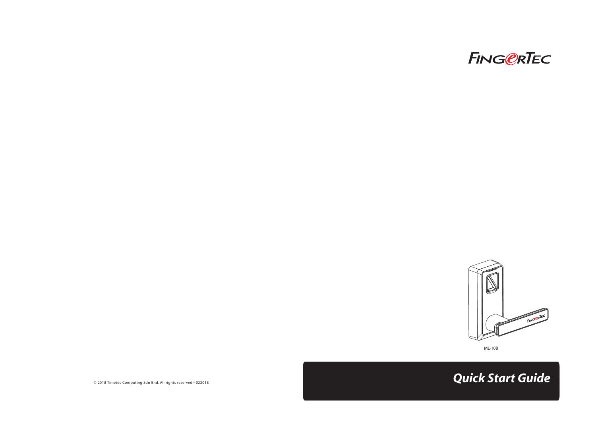



ML-10B

© 2018 Timetec Computing Sdn Bhd. All rights reserved • 022018 *Quick Start Guide*